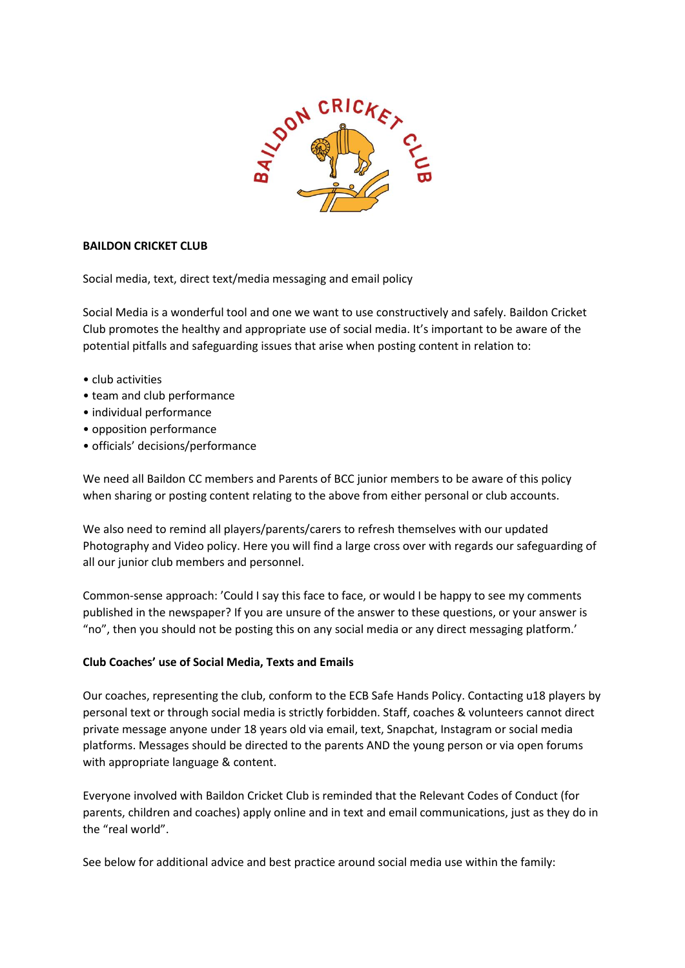

## **BAILDON CRICKET CLUB**

Social media, text, direct text/media messaging and email policy

Social Media is a wonderful tool and one we want to use constructively and safely. Baildon Cricket Club promotes the healthy and appropriate use of social media. It's important to be aware of the potential pitfalls and safeguarding issues that arise when posting content in relation to:

- club activities
- team and club performance
- individual performance
- opposition performance
- officials' decisions/performance

We need all Baildon CC members and Parents of BCC junior members to be aware of this policy when sharing or posting content relating to the above from either personal or club accounts.

We also need to remind all players/parents/carers to refresh themselves with our updated Photography and Video policy. Here you will find a large cross over with regards our safeguarding of all our junior club members and personnel.

Common-sense approach: 'Could I say this face to face, or would I be happy to see my comments published in the newspaper? If you are unsure of the answer to these questions, or your answer is "no", then you should not be posting this on any social media or any direct messaging platform.'

### **Club Coaches' use of Social Media, Texts and Emails**

Our coaches, representing the club, conform to the ECB Safe Hands Policy. Contacting u18 players by personal text or through social media is strictly forbidden. Staff, coaches & volunteers cannot direct private message anyone under 18 years old via email, text, Snapchat, Instagram or social media platforms. Messages should be directed to the parents AND the young person or via open forums with appropriate language & content.

Everyone involved with Baildon Cricket Club is reminded that the Relevant Codes of Conduct (for parents, children and coaches) apply online and in text and email communications, just as they do in the "real world".

See below for additional advice and best practice around social media use within the family: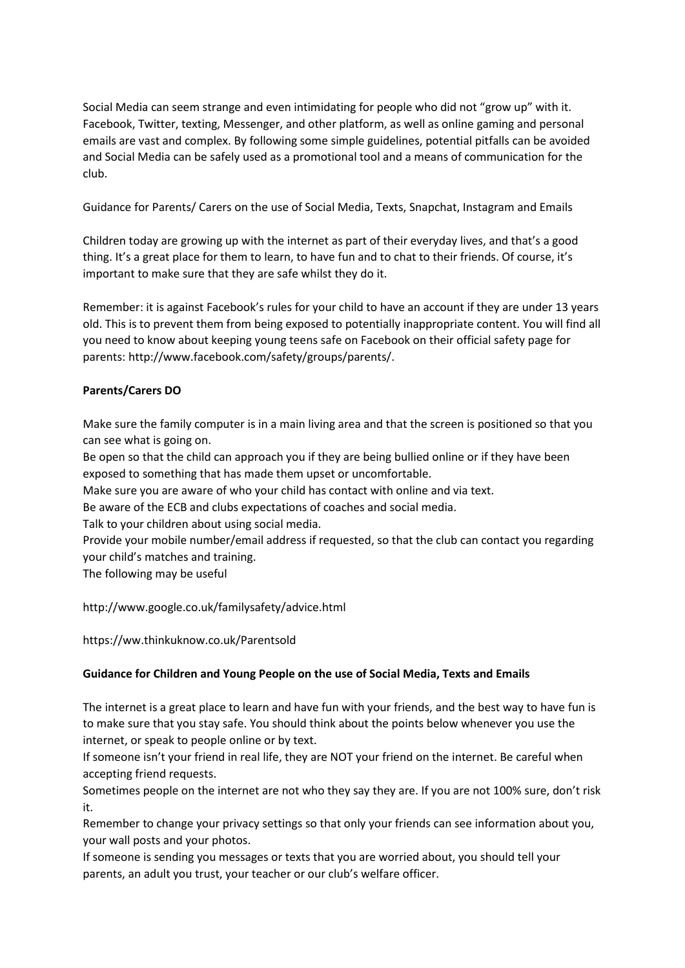Social Media can seem strange and even intimidating for people who did not "grow up" with it. Facebook, Twitter, texting, Messenger, and other platform, as well as online gaming and personal emails are vast and complex. By following some simple guidelines, potential pitfalls can be avoided and Social Media can be safely used as a promotional tool and a means of communication for the club.

Guidance for Parents/ Carers on the use of Social Media, Texts, Snapchat, Instagram and Emails

Children today are growing up with the internet as part of their everyday lives, and that's a good thing. It's a great place for them to learn, to have fun and to chat to their friends. Of course, it's important to make sure that they are safe whilst they do it.

Remember: it is against Facebook's rules for your child to have an account if they are under 13 years old. This is to prevent them from being exposed to potentially inappropriate content. You will find all you need to know about keeping young teens safe on Facebook on their official safety page for parents: http://www.facebook.com/safety/groups/parents/.

# **Parents/Carers DO**

Make sure the family computer is in a main living area and that the screen is positioned so that you can see what is going on.

Be open so that the child can approach you if they are being bullied online or if they have been exposed to something that has made them upset or uncomfortable.

Make sure you are aware of who your child has contact with online and via text.

Be aware of the ECB and clubs expectations of coaches and social media.

Talk to your children about using social media.

Provide your mobile number/email address if requested, so that the club can contact you regarding your child's matches and training.

The following may be useful

http://www.google.co.uk/familysafety/advice.html

https://ww.thinkuknow.co.uk/Parentsold

# **Guidance for Children and Young People on the use of Social Media, Texts and Emails**

The internet is a great place to learn and have fun with your friends, and the best way to have fun is to make sure that you stay safe. You should think about the points below whenever you use the internet, or speak to people online or by text.

If someone isn't your friend in real life, they are NOT your friend on the internet. Be careful when accepting friend requests.

Sometimes people on the internet are not who they say they are. If you are not 100% sure, don't risk it.

Remember to change your privacy settings so that only your friends can see information about you, your wall posts and your photos.

If someone is sending you messages or texts that you are worried about, you should tell your parents, an adult you trust, your teacher or our club's welfare officer.